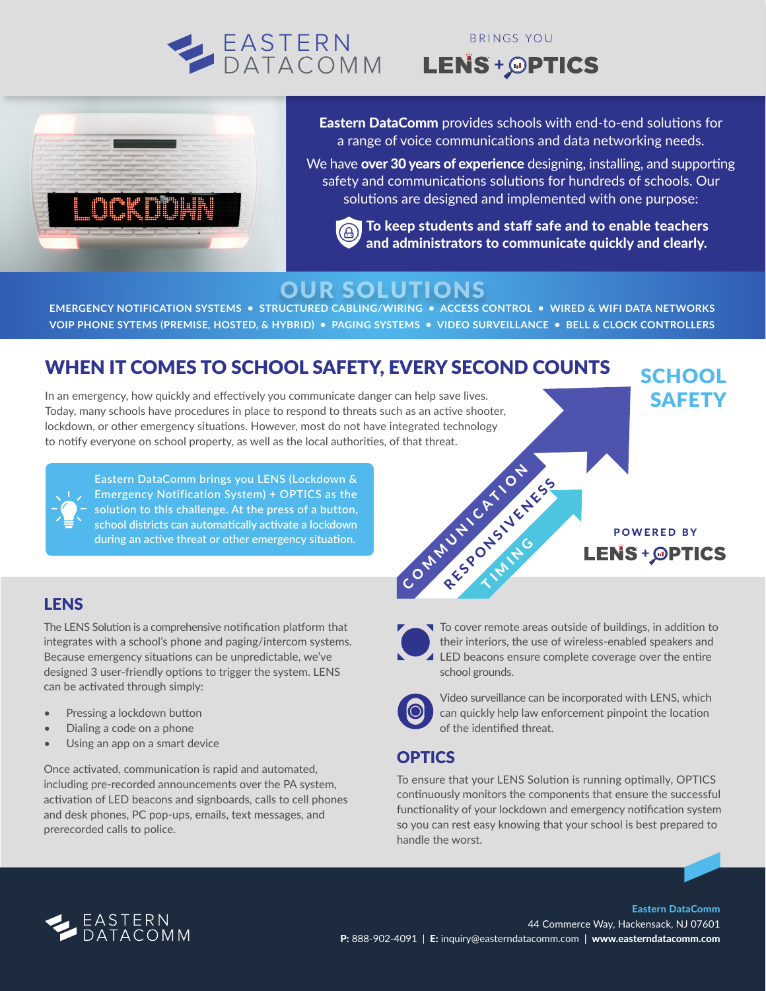

### BRINGS YOU **LENS + OPTICS**



Eastern DataComm provides schools with end-to-end solutions for a range of voice communications and data networking needs.

We have over 30 years of experience designing, installing, and supporting safety and communications solutions for hundreds of schools. Our solutions are designed and implemented with one purpose:



To keep students and staff safe and to enable teachers and administrators to communicate quickly and clearly.

# OUR SOLUTIONS

**EMERGENCY NOTIFICATION SYSTEMS • STRUCTURED CABLING/WIRING • ACCESS CONTROL • WIRED & WIFI DATA NETWORKS VOIP PHONE SYTEMS (PREMISE, HOSTED, & HYBRID) • PAGING SYSTEMS • VIDEO SURVEILLANCE • BELL & CLOCK CONTROLLERS**

## WHEN IT COMES TO SCHOOL SAFETY, EVERY SECOND COUNTS

In an emergency, how quickly and effectively you communicate danger can help save lives. Today, many schools have procedures in place to respond to threats such as an active shooter, lockdown, or other emergency situations. However, most do not have integrated technology to notify everyone on school property, as well as the local authorities, of that threat.



**Eastern DataComm brings you LENS (Lockdown & Emergency Notification System) + OPTICS as the solution to this challenge. At the press of a button, school districts can automatically activate a lockdown during an active threat or other emergency situation.**



**POWERED BY LENS + OPTICS** 

# **LENS**

The LENS Solution is a comprehensive notification platform that integrates with a school's phone and paging/intercom systems. Because emergency situations can be unpredictable, we've designed 3 user-friendly options to trigger the system. LENS can be activated through simply:

- Pressing a lockdown button
- Dialing a code on a phone
- Using an app on a smart device

Once activated, communication is rapid and automated, including pre-recorded announcements over the PA system, activation of LED beacons and signboards, calls to cell phones and desk phones, PC pop-ups, emails, text messages, and prerecorded calls to police.

COMMUNICATION

To cover remote areas outside of buildings, in addition to their interiors, the use of wireless-enabled speakers and  $\triangle$  LED beacons ensure complete coverage over the entire school grounds.



Video surveillance can be incorporated with LENS, which can quickly help law enforcement pinpoint the location of the identified threat.

#### **OPTICS**

To ensure that your LENS Solution is running optimally, OPTICS continuously monitors the components that ensure the successful functionality of your lockdown and emergency notification system so you can rest easy knowing that your school is best prepared to handle the worst.



Eastern DataComm 44 Commerce Way, Hackensack, NJ 07601 P: 888-902-4091 | E: inquiry@easterndatacomm.com **|** www.easterndatacomm.com